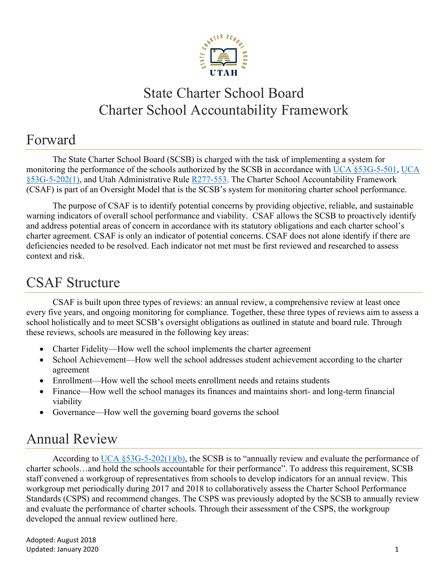

### State Charter School Board Charter School Accountability Framework

#### Forward

The State Charter School Board (SCSB) is charged with the task of implementing a system for monitoring the performance of the schools authorized by the SCSB in accordance with [UCA §53G-5-501,](https://le.utah.gov/xcode/Title53G/Chapter5/53G-5-S501.html?v=C53G-5-S501_2018012420180124) [UCA](https://le.utah.gov/xcode/Title53G/Chapter5/53G-5-S202.html?v=C53G-5-S202_2018012420180124)  [§53G-5-202\(1\),](https://le.utah.gov/xcode/Title53G/Chapter5/53G-5-S202.html?v=C53G-5-S202_2018012420180124) and Utah Administrative Rule [R277-553.](https://rules.utah.gov/publicat/code/r277/r277-481.htm) The Charter School Accountability Framework (CSAF) is part of an Oversight Model that is the SCSB's system for monitoring charter school performance.

The purpose of CSAF is to identify potential concerns by providing objective, reliable, and sustainable warning indicators of overall school performance and viability. CSAF allows the SCSB to proactively identify and address potential areas of concern in accordance with its statutory obligations and each charter school's charter agreement. CSAF is only an indicator of potential concerns. CSAF does not alone identify if there are deficiencies needed to be resolved. Each indicator not met must be first reviewed and researched to assess context and risk.

#### CSAF Structure

CSAF is built upon three types of reviews: an annual review, a comprehensive review at least once every five years, and ongoing monitoring for compliance. Together, these three types of reviews aim to assess a school holistically and to meet SCSB's oversight obligations as outlined in statute and board rule. Through these reviews, schools are measured in the following key areas:

- Charter Fidelity—How well the school implements the charter agreement
- School Achievement—How well the school addresses student achievement according to the charter agreement
- Enrollment—How well the school meets enrollment needs and retains students
- Finance—How well the school manages its finances and maintains short- and long-term financial viability
- Governance—How well the governing board governs the school

### Annual Review

According to UCA  $\S$ 53G-5-202(1)(b), the SCSB is to "annually review and evaluate the performance of charter schools…and hold the schools accountable for their performance". To address this requirement, SCSB staff convened a workgroup of representatives from schools to develop indicators for an annual review. This workgroup met periodically during 2017 and 2018 to collaboratively assess the Charter School Performance Standards (CSPS) and recommend changes. The CSPS was previously adopted by the SCSB to annually review and evaluate the performance of charter schools. Through their assessment of the CSPS, the workgroup developed the annual review outlined here.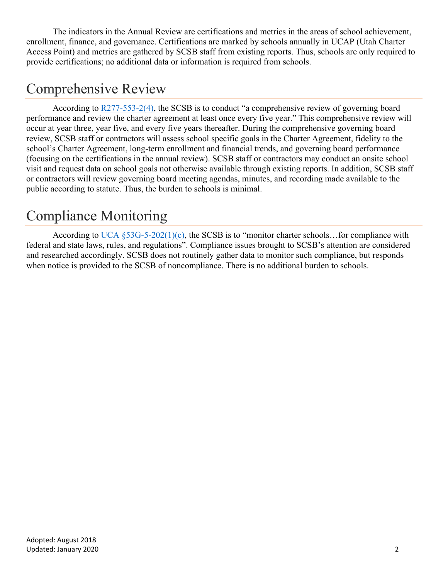The indicators in the Annual Review are certifications and metrics in the areas of school achievement, enrollment, finance, and governance. Certifications are marked by schools annually in UCAP (Utah Charter Access Point) and metrics are gathered by SCSB staff from existing reports. Thus, schools are only required to provide certifications; no additional data or information is required from schools.

### Comprehensive Review

According to  $\frac{R277-553-2(4)}{R}$ , the SCSB is to conduct "a comprehensive review of governing board performance and review the charter agreement at least once every five year." This comprehensive review will occur at year three, year five, and every five years thereafter. During the comprehensive governing board review, SCSB staff or contractors will assess school specific goals in the Charter Agreement, fidelity to the school's Charter Agreement, long-term enrollment and financial trends, and governing board performance (focusing on the certifications in the annual review). SCSB staff or contractors may conduct an onsite school visit and request data on school goals not otherwise available through existing reports. In addition, SCSB staff or contractors will review governing board meeting agendas, minutes, and recording made available to the public according to statute. Thus, the burden to schools is minimal.

## Compliance Monitoring

According to UCA  $\S$ 53G-5-202(1)(c), the SCSB is to "monitor charter schools... for compliance with federal and state laws, rules, and regulations". Compliance issues brought to SCSB's attention are considered and researched accordingly. SCSB does not routinely gather data to monitor such compliance, but responds when notice is provided to the SCSB of noncompliance. There is no additional burden to schools.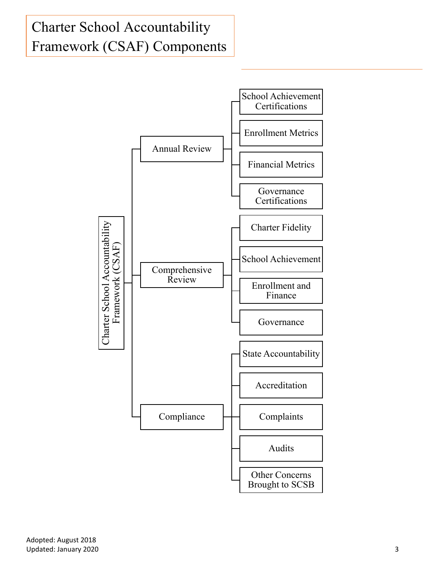# Charter School Accountability Framework (CSAF) Components

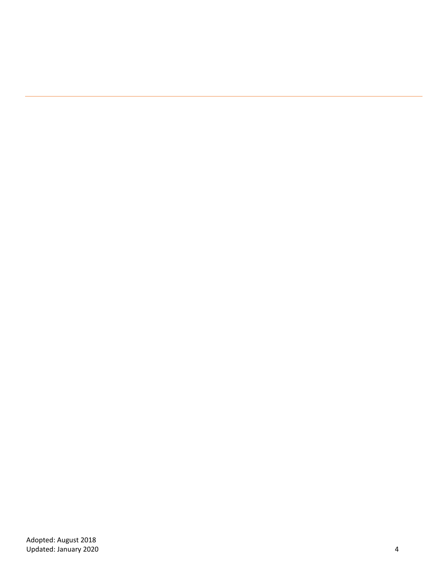Adopted: August 2018 Updated: January 2020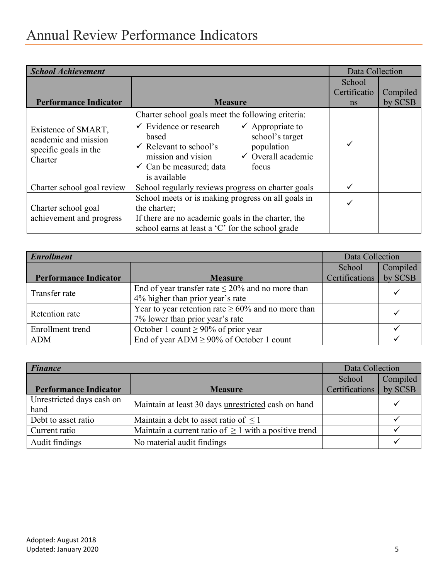| <b>School Achievement</b>                                                       |                                                                                                                                                                                                                                                                                                                            | Data Collection |          |
|---------------------------------------------------------------------------------|----------------------------------------------------------------------------------------------------------------------------------------------------------------------------------------------------------------------------------------------------------------------------------------------------------------------------|-----------------|----------|
|                                                                                 |                                                                                                                                                                                                                                                                                                                            | School          |          |
|                                                                                 |                                                                                                                                                                                                                                                                                                                            | Certificatio    | Compiled |
| <b>Performance Indicator</b>                                                    | <b>Measure</b>                                                                                                                                                                                                                                                                                                             | ns              | by SCSB  |
| Existence of SMART,<br>academic and mission<br>specific goals in the<br>Charter | Charter school goals meet the following criteria:<br>$\checkmark$ Evidence or research<br>$\checkmark$ Appropriate to<br>school's target<br>based<br>$\checkmark$ Relevant to school's<br>population<br>$\checkmark$ Overall academic<br>mission and vision<br>$\checkmark$ Can be measured; data<br>focus<br>is available |                 |          |
| Charter school goal review                                                      | School regularly reviews progress on charter goals                                                                                                                                                                                                                                                                         |                 |          |
| Charter school goal<br>achievement and progress                                 | School meets or is making progress on all goals in<br>the charter;<br>If there are no academic goals in the charter, the<br>school earns at least a 'C' for the school grade                                                                                                                                               |                 |          |

| <b>Enrollment</b>            |                                                          | Data Collection |          |
|------------------------------|----------------------------------------------------------|-----------------|----------|
|                              |                                                          | School          | Compiled |
| <b>Performance Indicator</b> | <b>Measure</b>                                           | Certifications  | by SCSB  |
| Transfer rate                | End of year transfer rate $\leq$ 20% and no more than    |                 |          |
|                              | 4% higher than prior year's rate                         |                 |          |
| Retention rate               | Year to year retention rate $\geq 60\%$ and no more than |                 |          |
|                              | 7% lower than prior year's rate                          |                 |          |
| Enrollment trend             | October 1 count $\geq 90\%$ of prior year                |                 |          |
| <b>ADM</b>                   | End of year ADM $\geq$ 90% of October 1 count            |                 |          |

| <b>Finance</b>                    |                                                            | Data Collection |          |
|-----------------------------------|------------------------------------------------------------|-----------------|----------|
|                                   |                                                            | School          | Compiled |
| <b>Performance Indicator</b>      | <b>Measure</b>                                             | Certifications  | by SCSB  |
| Unrestricted days cash on<br>hand | Maintain at least 30 days unrestricted cash on hand        |                 |          |
| Debt to asset ratio               | Maintain a debt to asset ratio of $\leq 1$                 |                 |          |
| Current ratio                     | Maintain a current ratio of $\geq 1$ with a positive trend |                 |          |
| Audit findings                    | No material audit findings                                 |                 |          |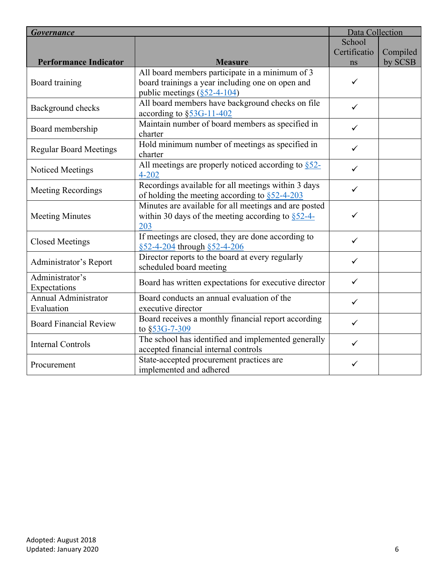| <b>Governance</b>             |                                                                      | Data Collection |          |
|-------------------------------|----------------------------------------------------------------------|-----------------|----------|
|                               |                                                                      | School          |          |
|                               |                                                                      | Certificatio    | Compiled |
| <b>Performance Indicator</b>  | <b>Measure</b>                                                       | ns              | by SCSB  |
|                               | All board members participate in a minimum of 3                      |                 |          |
| Board training                | board trainings a year including one on open and                     | $\checkmark$    |          |
|                               | public meetings $(\frac{552-4-104}{8})$                              |                 |          |
| Background checks             | All board members have background checks on file                     | $\checkmark$    |          |
|                               | according to $\S$ 53G-11-402                                         |                 |          |
| Board membership              | Maintain number of board members as specified in                     | $\checkmark$    |          |
|                               | charter                                                              |                 |          |
| <b>Regular Board Meetings</b> | Hold minimum number of meetings as specified in                      | $\checkmark$    |          |
|                               | charter                                                              |                 |          |
| Noticed Meetings              | All meetings are properly noticed according to $\S52$ -<br>$4 - 202$ | ✓               |          |
|                               | Recordings available for all meetings within 3 days                  |                 |          |
| <b>Meeting Recordings</b>     | of holding the meeting according to $\S$ 52-4-203                    | ✓               |          |
|                               | Minutes are available for all meetings and are posted                |                 |          |
| <b>Meeting Minutes</b>        | within 30 days of the meeting according to $\S$ 52-4-                | ✓               |          |
|                               | 203                                                                  |                 |          |
| <b>Closed Meetings</b>        | If meetings are closed, they are done according to                   | $\checkmark$    |          |
|                               | §52-4-204 through §52-4-206                                          |                 |          |
| Administrator's Report        | Director reports to the board at every regularly                     | $\checkmark$    |          |
|                               | scheduled board meeting                                              |                 |          |
| Administrator's               | Board has written expectations for executive director                | $\checkmark$    |          |
| Expectations                  |                                                                      |                 |          |
| <b>Annual Administrator</b>   | Board conducts an annual evaluation of the                           | ✓               |          |
| Evaluation                    | executive director                                                   |                 |          |
| <b>Board Financial Review</b> | Board receives a monthly financial report according                  | $\checkmark$    |          |
|                               | to §53G-7-309                                                        |                 |          |
| <b>Internal Controls</b>      | The school has identified and implemented generally                  | $\checkmark$    |          |
|                               | accepted financial internal controls                                 |                 |          |
| Procurement                   | State-accepted procurement practices are                             | ✓               |          |
|                               | implemented and adhered                                              |                 |          |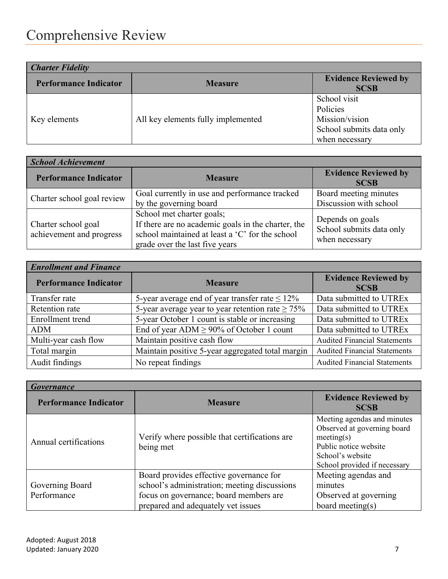| <b>Charter Fidelity</b>      |                                    |                                                                                          |  |
|------------------------------|------------------------------------|------------------------------------------------------------------------------------------|--|
| <b>Performance Indicator</b> | <b>Measure</b>                     | <b>Evidence Reviewed by</b><br><b>SCSB</b>                                               |  |
| Key elements                 | All key elements fully implemented | School visit<br>Policies<br>Mission/vision<br>School submits data only<br>when necessary |  |

| <b>School Achievement</b>                       |                                                                                                                                                                      |                                                                |  |
|-------------------------------------------------|----------------------------------------------------------------------------------------------------------------------------------------------------------------------|----------------------------------------------------------------|--|
| <b>Performance Indicator</b>                    | <b>Measure</b>                                                                                                                                                       | <b>Evidence Reviewed by</b><br><b>SCSB</b>                     |  |
| Charter school goal review                      | Goal currently in use and performance tracked<br>by the governing board                                                                                              | Board meeting minutes<br>Discussion with school                |  |
| Charter school goal<br>achievement and progress | School met charter goals;<br>If there are no academic goals in the charter, the<br>school maintained at least a 'C' for the school<br>grade over the last five years | Depends on goals<br>School submits data only<br>when necessary |  |

| <b>Enrollment and Finance</b> |                                                        |                                            |  |
|-------------------------------|--------------------------------------------------------|--------------------------------------------|--|
| <b>Performance Indicator</b>  | <b>Measure</b>                                         | <b>Evidence Reviewed by</b><br><b>SCSB</b> |  |
| Transfer rate                 | 5-year average end of year transfer rate $\leq 12\%$   | Data submitted to UTREx                    |  |
| Retention rate                | 5-year average year to year retention rate $\geq 75\%$ | Data submitted to UTREx                    |  |
| Enrollment trend              | 5-year October 1 count is stable or increasing         | Data submitted to UTREx                    |  |
| <b>ADM</b>                    | End of year ADM $\geq$ 90% of October 1 count          | Data submitted to UTREx                    |  |
| Multi-year cash flow          | Maintain positive cash flow                            | <b>Audited Financial Statements</b>        |  |
| Total margin                  | Maintain positive 5-year aggregated total margin       | <b>Audited Financial Statements</b>        |  |
| Audit findings                | No repeat findings                                     | <b>Audited Financial Statements</b>        |  |

| <b>Governance</b>              |                                                                                                                                                                         |                                                                                                                                                       |  |
|--------------------------------|-------------------------------------------------------------------------------------------------------------------------------------------------------------------------|-------------------------------------------------------------------------------------------------------------------------------------------------------|--|
| <b>Performance Indicator</b>   | <b>Measure</b>                                                                                                                                                          | <b>Evidence Reviewed by</b><br><b>SCSB</b>                                                                                                            |  |
| Annual certifications          | Verify where possible that certifications are<br>being met                                                                                                              | Meeting agendas and minutes<br>Observed at governing board<br>meeting(s)<br>Public notice website<br>School's website<br>School provided if necessary |  |
| Governing Board<br>Performance | Board provides effective governance for<br>school's administration; meeting discussions<br>focus on governance; board members are<br>prepared and adequately vet issues | Meeting agendas and<br>minutes<br>Observed at governing<br>board meeting(s)                                                                           |  |